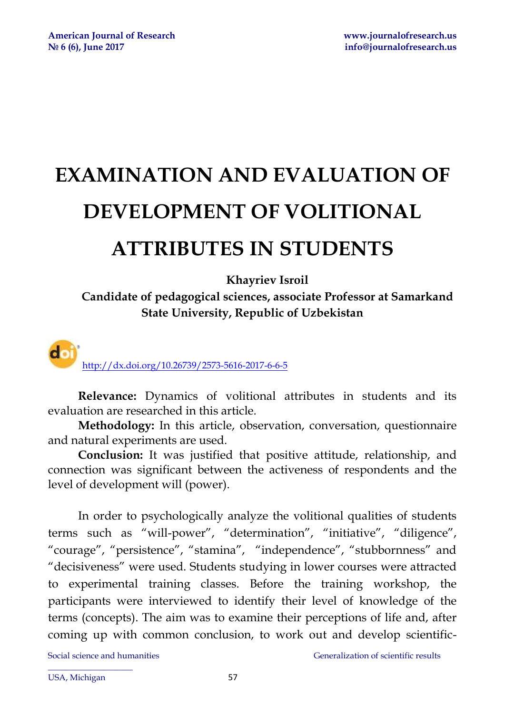# **EXAMINATION AND EVALUATION OF DEVELOPMENT OF VOLITIONAL ATTRIBUTES IN STUDENTS**

**Khayriev Isroil** 

**Candidate of pedagogical sciences, associate Professor at Samarkand State University, Republic of Uzbekistan** 

d i <http://dx.doi.org/10.26739/2573-5616-2017-6-6-5>

**Relevance:** Dynamics of volitional attributes in students and its evaluation are researched in this article.

**Methodology:** In this article, observation, conversation, questionnaire and natural experiments are used.

**Conclusion:** It was justified that positive attitude, relationship, and connection was significant between the activeness of respondents and the level of development will (power).

In order to psychologically analyze the volitional qualities of students terms such as "will-power", "determination", "initiative", "diligence", "courage", "persistence", "stamina", "independence", "stubbornness" and "decisiveness" were used. Students studying in lower courses were attracted to experimental training classes. Before the training workshop, the participants were interviewed to identify their level of knowledge of the terms (concepts). The aim was to examine their perceptions of life and, after coming up with common conclusion, to work out and develop scientific-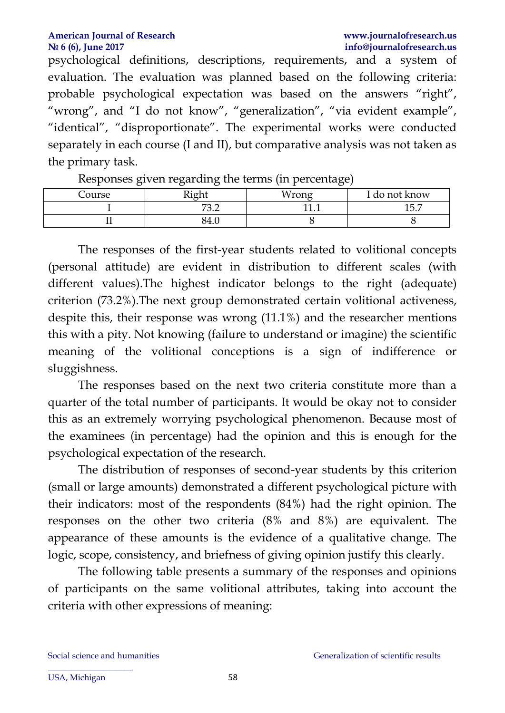#### **American Journal of Research [www.journalofresearch.us](http://www.journalofresearch.us/) № 6 (6), June 2017 info@journalofresearch.us**

psychological definitions, descriptions, requirements, and a system of evaluation. The evaluation was planned based on the following criteria: probable psychological expectation was based on the answers "right", "wrong", and "I do not know", "generalization", "via evident example", "identical", "disproportionate". The experimental works were conducted separately in each course (I and II), but comparative analysis was not taken as the primary task.

| $\cdot$ | $\cdot$<br>ີ                  | ັ        |               |
|---------|-------------------------------|----------|---------------|
| Course  | Dish                          | Mrono    | I do not know |
|         | 72 C<br>$\cup$ . $\leftarrow$ | -11<br>. | ∽<br>エン・ハ     |
|         | $-84.$                        |          |               |
|         |                               |          |               |

Responses given regarding the terms (in percentage)

The responses of the first-year students related to volitional concepts (personal attitude) are evident in distribution to different scales (with different values).The highest indicator belongs to the right (adequate) criterion (73.2%).The next group demonstrated certain volitional activeness, despite this, their response was wrong (11.1%) and the researcher mentions this with a pity. Not knowing (failure to understand or imagine) the scientific meaning of the volitional conceptions is a sign of indifference or sluggishness.

The responses based on the next two criteria constitute more than a quarter of the total number of participants. It would be okay not to consider this as an extremely worrying psychological phenomenon. Because most of the examinees (in percentage) had the opinion and this is enough for the psychological expectation of the research.

The distribution of responses of second-year students by this criterion (small or large amounts) demonstrated a different psychological picture with their indicators: most of the respondents (84%) had the right opinion. The responses on the other two criteria (8% and 8%) are equivalent. The appearance of these amounts is the evidence of a qualitative change. The logic, scope, consistency, and briefness of giving opinion justify this clearly.

The following table presents a summary of the responses and opinions of participants on the same volitional attributes, taking into account the criteria with other expressions of meaning: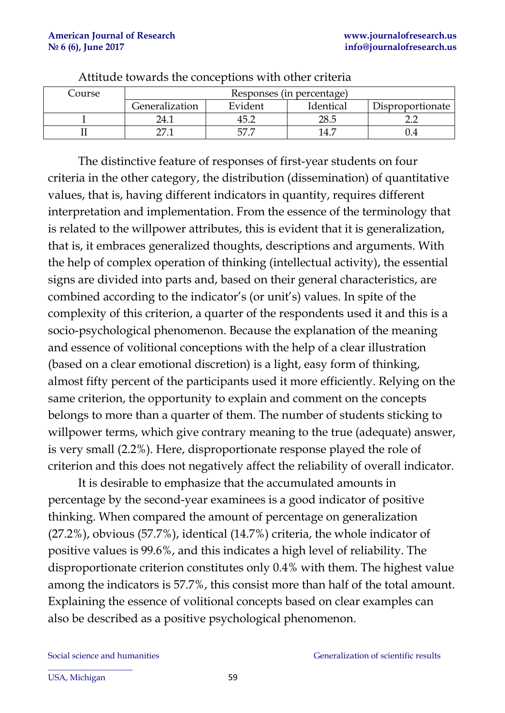| Course | Responses (in percentage) |         |           |                  |  |
|--------|---------------------------|---------|-----------|------------------|--|
|        | Generalization            | Evident | Identical | Disproportionate |  |
|        | 24.1                      | 45.2    | 28.5      |                  |  |
|        |                           |         |           |                  |  |

Attitude towards the conceptions with other criteria

The distinctive feature of responses of first-year students on four criteria in the other category, the distribution (dissemination) of quantitative values, that is, having different indicators in quantity, requires different interpretation and implementation. From the essence of the terminology that is related to the willpower attributes, this is evident that it is generalization, that is, it embraces generalized thoughts, descriptions and arguments. With the help of complex operation of thinking (intellectual activity), the essential signs are divided into parts and, based on their general characteristics, are combined according to the indicator's (or unit's) values. In spite of the complexity of this criterion, a quarter of the respondents used it and this is a socio-psychological phenomenon. Because the explanation of the meaning and essence of volitional conceptions with the help of a clear illustration (based on a clear emotional discretion) is a light, easy form of thinking, almost fifty percent of the participants used it more efficiently. Relying on the same criterion, the opportunity to explain and comment on the concepts belongs to more than a quarter of them. The number of students sticking to willpower terms, which give contrary meaning to the true (adequate) answer, is very small (2.2%). Here, disproportionate response played the role of criterion and this does not negatively affect the reliability of overall indicator.

It is desirable to emphasize that the accumulated amounts in percentage by the second-year examinees is a good indicator of positive thinking. When compared the amount of percentage on generalization (27.2%), obvious (57.7%), identical (14.7%) criteria, the whole indicator of positive values is 99.6%, and this indicates a high level of reliability. The disproportionate criterion constitutes only 0.4% with them. The highest value among the indicators is 57.7%, this consist more than half of the total amount. Explaining the essence of volitional concepts based on clear examples can also be described as a positive psychological phenomenon.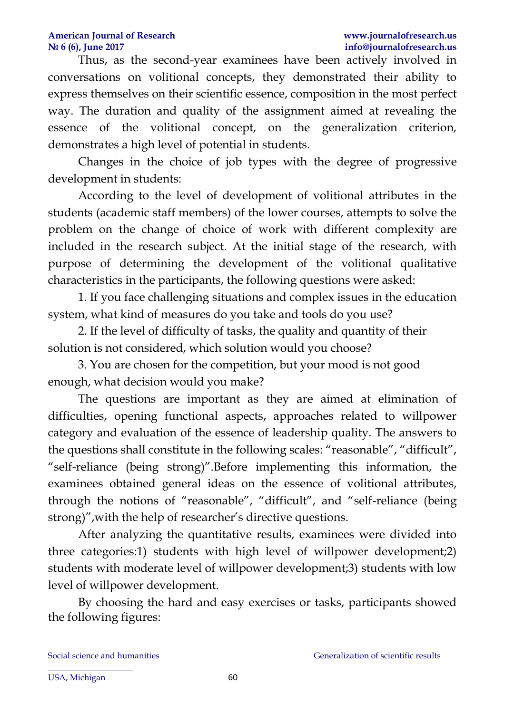### **American Journal of Research [www.journalofresearch.us](http://www.journalofresearch.us/) № 6 (6), June 2017 info@journalofresearch.us**

Thus, as the second-year examinees have been actively involved in conversations on volitional concepts, they demonstrated their ability to express themselves on their scientific essence, composition in the most perfect way. The duration and quality of the assignment aimed at revealing the essence of the volitional concept, on the generalization criterion, demonstrates a high level of potential in students.

Changes in the choice of job types with the degree of progressive development in students:

According to the level of development of volitional attributes in the students (academic staff members) of the lower courses, attempts to solve the problem on the change of choice of work with different complexity are included in the research subject. At the initial stage of the research, with purpose of determining the development of the volitional qualitative characteristics in the participants, the following questions were asked:

1. If you face challenging situations and complex issues in the education system, what kind of measures do you take and tools do you use?

2. If the level of difficulty of tasks, the quality and quantity of their solution is not considered, which solution would you choose?

3. You are chosen for the competition, but your mood is not good enough, what decision would you make?

The questions are important as they are aimed at elimination of difficulties, opening functional aspects, approaches related to willpower category and evaluation of the essence of leadership quality. The answers to the questions shall constitute in the following scales: "reasonable", "difficult", "self-reliance (being strong)".Before implementing this information, the examinees obtained general ideas on the essence of volitional attributes, through the notions of "reasonable", "difficult", and "self-reliance (being strong)",with the help of researcher's directive questions.

After analyzing the quantitative results, examinees were divided into three categories:1) students with high level of willpower development;2) students with moderate level of willpower development;3) students with low level of willpower development.

By choosing the hard and easy exercises or tasks, participants showed the following figures: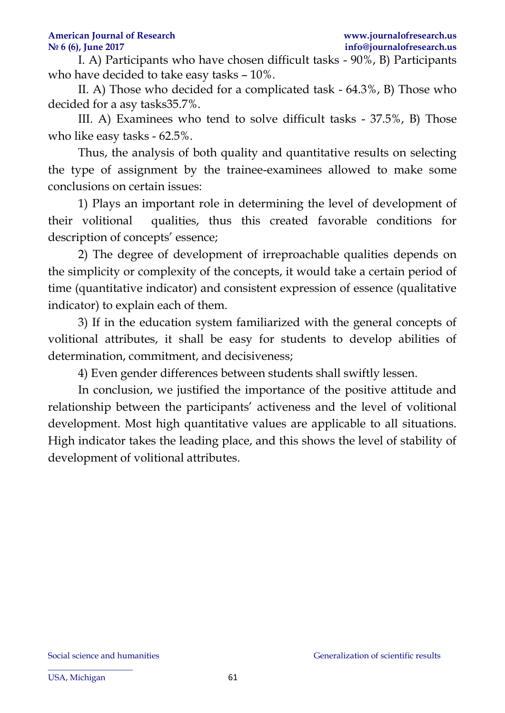I. A) Participants who have chosen difficult tasks - 90%, B) Participants who have decided to take easy tasks – 10%.

II. A) Those who decided for a complicated task - 64.3%, B) Those who decided for a asy tasks35.7%.

III. A) Examinees who tend to solve difficult tasks - 37.5%, B) Those who like easy tasks - 62.5%.

Thus, the analysis of both quality and quantitative results on selecting the type of assignment by the trainee-examinees allowed to make some conclusions on certain issues:

1) Plays an important role in determining the level of development of their volitional qualities, thus this created favorable conditions for description of concepts' essence;

2) The degree of development of irreproachable qualities depends on the simplicity or complexity of the concepts, it would take a certain period of time (quantitative indicator) and consistent expression of essence (qualitative indicator) to explain each of them.

3) If in the education system familiarized with the general concepts of volitional attributes, it shall be easy for students to develop abilities of determination, commitment, and decisiveness;

4) Even gender differences between students shall swiftly lessen.

In conclusion, we justified the importance of the positive attitude and relationship between the participants' activeness and the level of volitional development. Most high quantitative values are applicable to all situations. High indicator takes the leading place, and this shows the level of stability of development of volitional attributes.